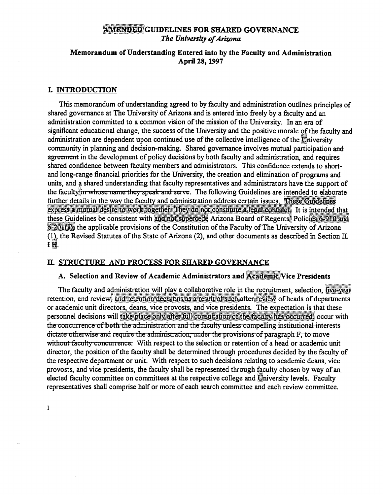# AMENDED GUIDELINES FOR SHARED GOVERNANCE The University of Arizona

# Memorandum of Understanding Entered into by the Faculty and Administration April 28, 1997

# L INTRODUCTION

This memorandum of understanding agreed to by faculty and administration outlines principles of shared governance at The University of Arizona and is entered into freely by a faculty and an administration committed to a common vision of the mission of the University. In an era of significant educational change, the success of the University and the positive morale of the faculty and administration are dependent upon continued use of the collective intelligence of the University community in planning and decision-making. Shared governance involves mutual participation and agreement in the development of policy decisions by both faculty and administration, and requires shared confidence between faculty members and administrators. This confidence extends to shortand long-range financial priorities for the University, the creation and elimination of programs and units, and a shared understanding that faculty representatives and administrators have the support of the faculty in whose name they speak and serve. The following Guidelines are intended to elaborate further details in the way the faculty and administration address certain issues. These Guidelines express a mutual desire to work together. They do not constitute a legal contract. It is intended that these Guidelines be consistent with and not supercede Arizona Board of Regents. Policies 6-910 and 6-201(J); the applicable provisions of the Constitution of the Faculty of The University of Arizona (1) the Revised Statutes of the State of Arizona (2), and other documents as described in Section II. 1H.

# IL STRUCTURE AND PROCESS FOR SHARED GOVERNANCE

# A. Selection and Review of Academic Administrators and Academic Vice Presidents

The faculty and administration will play a collaborative role in the recruitment, selection, five-year retention, and review, and retention decisions as a result of such after review of heads of departments or academic unit directors, deans, vice provosts, and vice presidents. The expectation is that these personnel decisions will take place only after full consultation of the faculty has occurred, occur with the concurrence of both the administration and the faculty unless compelling institutional interests dictate otherwise and require the administration, under the provisions of paragraph F, to move without faculty concurrence. With respect to the selection or retention of a head or academic unit director, the position of the faculty shall be determined through procedures decided by the faculty of the respective department or unit. With respect to such decisions relating to academic deans, vice provosts, and vice presidents, the faculty shall be represented through faculty chosen by way of an. elected faculty committee on committees at the respective college and University levels. Faculty representatives shall comprise half or more of each search committee and each review committee.

i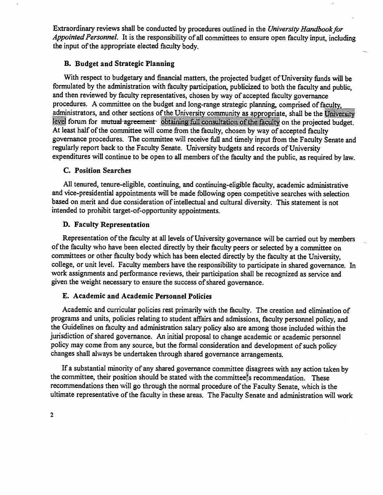Extraordinary reviews shall be conducted by procedures outlined in the University Handbook for Appointed Personnel. It is the responsibility of all committees to ensure open faculty input, including the input of the appropriate elected faculty body.

# Budget and Strategic Planning

With respect to budgetary and financial matters, the projected budget of University funds will be formulated by the administration with faculty participation, publicized to both the faculty and public, and then reviewed by faculty representatives, chosen by way of accepted faculty governance procedures. A committee on the budget and long-range strategic planning, comprised of faculty, administrators, and other sections of the University community as appropriate, shall be the University level forum for mutual agreement obtaining full consultation of the faculty on the projected budget. At least half of the committee will come from the faculty, chosen by way of accepted faculty governance procedures. The committee will receive full and timely input from the Faculty Senate and regularly report back to the Faculty Senate. University budgets and records of University expenditures will continue to be open to all members of the faculty and the public, as required by law.

# **C. Position Searches**

All tenured, tenure-eligible, continuing, and continuing-eligible faculty, academic administrative and vice-presidential appointments will be made following open competitive searches with selection based on merit and due consideration of intellectual and cultural diversity. This statement is not intended to prohibit target-of-opportunity appointments.

# D. Faculty Representation

Representation of the faculty at all levels of University governance will be carried out by members of the faculty who have been elected directly by their faculty peers or selected by a committee on committees or other faculty body which has been elected directly by the faculty at the University, college, or unit level. Faculty members have the responsibility to participate in shared governance. In work assignments and performance reviews, their participation shall be recognized as service and given the weight necessary to ensure the success of shared governance.

# Academic and Academic Personnel Policies

Academic and curricular policies rest primarily with the faculty. The creation and elimination of programs and units, policies relating to student affairs and admissions, faculty personnel policy, and the Guidelines on faculty and administration salary policy also are among those included within the jurisdiction of shared governance. An initial proposal to change academic or academic personnel policy may come from any source, but the formal consideration and development of such policy changes shall always be undertaken through shared governance arrangements.

If a substantial minority of any shared governance committee disagrees with any action taken by the committee, their position should be stated with the committee.<sup>\*</sup>s recommendation. These recommendations then will go through the normal procedure of the Faculty Senate, which is the ultimate representative of the faculty in these areas. The Faculty Senate and administration will work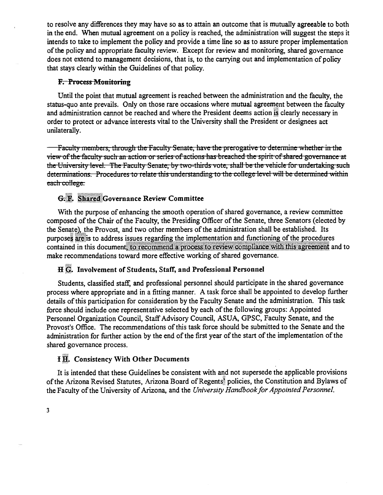to resolve any differences they may have so as to attain an outcome that is mutually agreeable to both in the end. When mutual agreement on a policy is reached, the administration will suggest the steps it intends to take to implement the policy and provide a time line so as to assure proper implementation of the policy and appropriate faculty review. Except for review and monitoring, shared governance does not extend to management decisions, that is, to the carrying out and implementation of policy that stays clearly within the Guidelines of that policy.

# F. Process Monitoring

Until the point that mutual agreement is reached between the administration and the faculty, the status-quo ante prevails. Only on those rare occasions where mutual agreement between the faculty and administration cannot be reached and where the President deems action is clearly necessary in order to protect or advance interests vital to the University shall the President or designees act unilaterally.

**444 Faculty members, through the Faculty Senate, have the prerogative to determine whether in the** view of the faculty such an action or series of actions has breached the spirit of shared governance at the University level. The Faculty Senate, by two-thirds vote, shall be the vehicle for undertaking such determinations. Procedures to relate this understanding to the college level will be determined within each college.

# G. F. Shared Governance Review Committee

With the purpose of enhancing the smooth operation of shared governance, a review committee composed of the Chair of the Faculty, the Presiding Officer of the Senate, three Senators (elected by the Senate), the Provost, and two other members of the administration shall be established. Its purposes are is to address issues regarding the implementation and functioning of the procedures contained in this document, to recommend a process to review compliance with this agreement and to make recommendations toward more effective working of shared governance.

# H  $\ddot{\mathbb{G}}$ . Involvement of Students, Staff, and Professional Personnel

Students, classified staff, and professional personnel should participate in the shared governance process where appropriate and in a fitting manner. A task force shall be appointed to develop further details of this participation for consideration by the Faculty Senate and the administration. This task force should include one representative selected by each of the following groups: Appointed Personnel Organization Council, Staff Advisory Council, ASUA, GPSC, Faculty Senate, and the Provost's Office. The recommendations of this task force should be submitted to the Senate and the administration for further action by the end of the first year of the start of the implementation of the shared governance process.

# **H.E.**. Consistency With Other Documents

It is intended that these Guidelines be consistent with and not supersede the applicable provisions of the Arizona Revised Statutes, Arizona Board of Regents<sup>®</sup> policies, the Constitution and Bylaws of the Faculty of the University of Arizona, and the University Handbook for Appointed Personnel.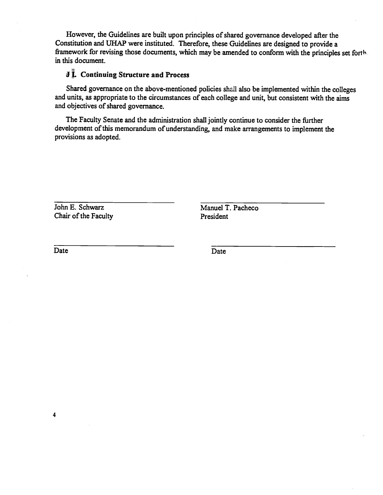However, the Guidelines are built upon principles of shared governance developed after the Constitution and UHAP were instituted. Therefore, these Guidelines are designed to provide a framework for revising those documents, which may be amended to conform with the principles set forth in this document.

# **J** *i.* Continuing Structure and Process

Shared governance on the above-mentioned policies shall also be implemented within the colleges and units, as appropriate to the circumstances of each college and unit, but consistent with the aims and objectives of shared governance.

The Faculty Senate and the administration shall jointly continue to consider the further development of this memorandum of understanding, and make arrangements to implement the provisions as adopted.

John E. Schwarz Manuel T. Pacheco Chair of the Faculty President

Date Date Date Date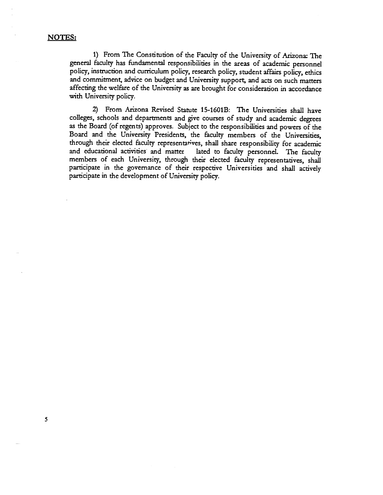### NOTES:

5

From The Constitution of the Faculty of the University of Arizona: The general faculty has fundamental responsibilities in the areas of academic personnel policy, instruction and curriculum policy, research policy, student affairs policy, ethics and commitment, advice on budget and University support, and acts on such matters affecting the welfare of the University as are brought for consideration in accordance with University policy.

From Arizona Revised Statute 15-1601B: The Universities shall have colleges, schools and departments and give courses of study and academic degrees as the Board (of regents) approves. Subject to the responsibilities and powers of the Board and the University Presidents, the faculty members of the Universities, through their elected faculty representatives, shall share responsibility for academic and educational activities and matter lated to faculty personnel. The faculty members of each University, through their elected faculty representatives, shall participate in the governance of their respective Universities and shall actively participate in the development of University policy.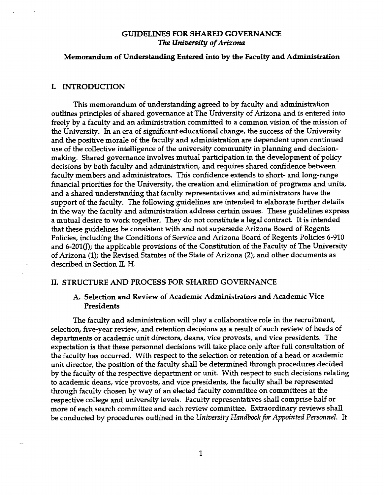# GUIDELINES FOR SHARED GOVERNANCE The University of Arizona

# Memorandum of Understanding Entered into by the Faculty and Administration

# I. INTRODUCTION

This memorandum of understanding agreed to by faculty and administration outlines principles of shared governance at The University of Arizona and is entered into freely by a faculty and an administration committed to a common vision of the mission of the University. In an era of significant educational change, the success of the University and the positive morale of the faculty and administration are dependent upon continued use of the collective intelligence of the university community in planning and decisionmaking. Shared governance involves mutual participation in the development of policy decisions by both faculty and administration, and requires shared confidence between faculty members and administrators. This confidence extends to short- and long-range financial priorities for the University, the creation and elimination of programs and units, and a shared understanding that faculty representatives and administrators have the support of the faculty. The following guidelines are intended to elaborate further details in the way the faculty and administration address certain îssues. These guidelines express a mutual desire to work together. They do not constitute a legal contract. It is intended that these guidelines be consistent with and not supersede Arizona Board of Regents Policies, including the Conditions of Service and Arizona Board of Regents Policies 6-910 and 6-201(J); the applicable provisions of the Constitution of the Faculty of The University of Arizona (1); the Revised Statutes of the State of Arizona (2); and other documents as described in Section IL H.

# II. STRUCIURE AND PROCESS FOR SHARED GOVERNANCE

# A. Selection and Review of Academic Administrators and Academic Vice Presidents

The faculty and administration will play a collaborative role in the recruitment, selection, five-year review, and retention decisions as a result of such review of heads of departments or academic unit directors, deans, vice provosts, and vice presidents. The expectation is that these personnel decisions will take place only after full consultation of the faculty has occurred. With respect to the selection or retention of a head or academic unit director, the position of the faculty shall be determined through procedures decided by the faculty of the respective department or unit With respect to such decisions relating to academic deans, vice provosts, and vice presidents, the faculty shall be represented through faculty chosen by way of an elected faculty committee on committees at the respective college and university levels. Faculty representatives shall comprise half or more of each search committee and each review committee. Extraordinary reviews shall be conducted by procedures outlined in the University Handbook for Appointed Personnel. It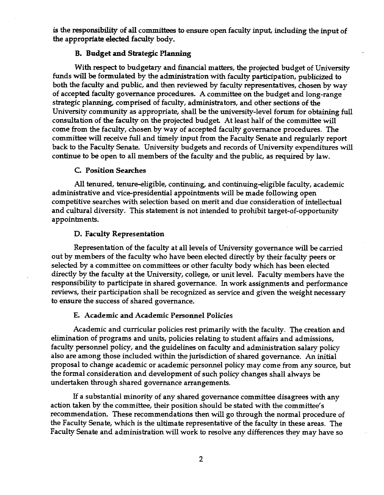is the responsibility of all committees to ensure open faculty input, including the input of the appropriate elected faculty body.

# Budget and Strategic Planning

With respect to budgetary and financial matters, the projected budget of University funds will be formulated by the administration with faculty participation, publicized to both the faculty and public, and then reviewed by faculty representatives, chosen by way of accepted faculty governance procedures. A committee on the budget and long-range strategic planning, comprised of faculty, administrators, and other sections of the University community as appropriate, shall be the university-level forum for obtaining full consultation of the faculty on the projected budget At least half of the committee will come from the faculty, chosen by way of accepted faculty governance procedures. The committee will receive full and timely input from the Faculty Senate and regularly report back to the Faculty Senate. University budgets and records of University expenditures will continue to be open to all members of the faculty and the public, as required by law.

# C. Position Searches

All tenured, tenure-eligible, continuing, and continuing-eligible faculty, academic administrative and vice-presidential appointments will be made following open competitive searches with selection based on merit and due consideration of intellectual and cultural diversity. This statement is not intended to prohibit target-of-opportunity appointments.

# D. Faculty Representation

Representation of the faculty at all levels of University governance will be carried out by members of the faculty who have been elected directly by their faculty peers or selected by a committee on committees or other faculty body which has been elected directly by the faculty at the University, college, or unit level. Faculty members have the responsibility to participate in shared governance. In work assignments and performance reviews, their participation shall be recognized as service and given the weight necessary to ensure the success of shared governance.

# Academic and Academic Personnel Policies

Academic and curricular policies rest primarily with the faculty. The creation and elimination of programs and units, policies relating to student affairs and admissions, faculty personnel policy, and the guidelines on faculty and administration salary policy also are among those included within the jurisdiction of shared governance. An initial proposal to change academic or academic personnel policy may come from any source, but the formal consideration and development of such policy changes shall always be undertaken through shared governance arrangements.

If a substantial minority of any shared governance committee disagrees with any action taken by the committee, their position should be stated with the committee's recommendation. These recommendations then wifi go through the normal procedure of the Faculty Senate, which is the ultimate representative of the faculty in these areas. The Faculty Senate and administration will work to resolve any differences they may have so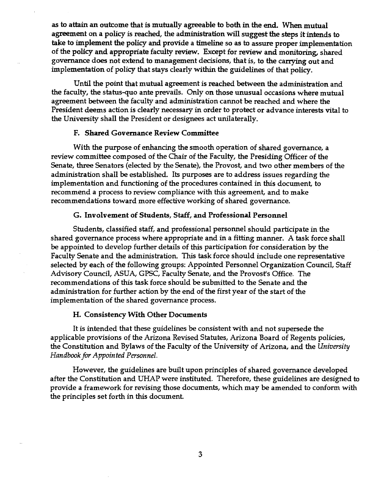as to attain an outcome that is mutually agreeable to both in the end. When mutual agreement on a policy is reached, the administration will suggest the steps it intends to take to implement the policy and provide a timeline so as to assure proper implementation of the policy and appropriate faculty review. Except for review and monitoring, shared governance does not extend to management decisions, that is, to the carrying out and implementation of policy that stays clearly within the guidelines of that policy.

Until the point that mutual agreement is reached between the administration and the faculty, the status-quo ante prevails. Only on those unusual occasions where mutual agreement between the faculty and administration cannot be reached and where the President deems action is clearly necessary in order to protect or advance interests vital to the University shall the President or designees act unilaterally.

# Shared Governance Review Committee

With the purpose of enhancing the smooth operation of shared governance, a review committee composed of the Chair of the Faculty, the Presiding Officer of the Senate, three Senators (elected by the Senate), the Provost, and two other members of the administration shall be established. Its purposes are to address issues regarding the implementation and functioning of the procedures contained in this document, to recommend a process to review compliance with this agreement, and to make recommendations toward more effective working of shared governance.

# G. Involvement of Students, Staff, and Professional Personnel

Students, classified staff, and professional personnel should participate in the shared governance process where appropriate and in a fitting manner. A task force shall be appointed to develop further details of this participation for consideration by the Faculty Senate and the administration. This task force should include one representative selected by each of the following groups: Appointed Personnel Organization Council, Staff Advisory Council, ASUA, GPSC, Faculty Senate, and the Provost's Office. The recommendations of this task force should be submitted to the Senate and the administration for further action by the end of the first year of the start of the implementation of the shared governance process.

# H. Consistency With Other Documents

It is intended that these guidelines be consistent with and not supersede the applicable provisions of the Arizona Revised Statutes, Arizona Board of Regents policies, the Constitution and Bylaws of the Faculty of the University of Arizona, and the University Handbook for Appointed Personnel.

However, the guidelines are built upon principles of shared governance developed after the Constitution and UHAP were instituted. Therefore, these guidelines are designed to provide a framework for revising those documents, which may be amended to conform with the principles set forth in this document.

3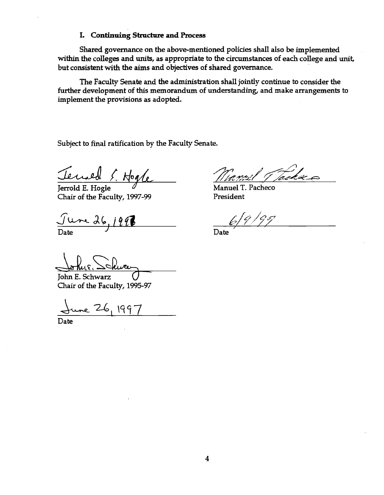# I. Continuing Structure and Process

Shared governance on the above-mentioned policies shall also be implemented within the colleges and units, as appropriate to the circumstances of each college and unit, but consistent with the aims and objectives of shared governance.

The Faculty Senate and the administration shall jointly continue to consider the further development of this memorandum of understanding, and make arrangements to implement the provisions as adopted.

Subject to final ratification by the Faculty Senate.

Tend S. Hogle

Jerrold E. Hogle Chair of the Faculty, 1997-99

 $J$ ure 26 **Date** 

/1

Manuel T. Pacheco President

197

Date

John E. Schwarz Chair of the Faculty, 1995-97

June 26, 199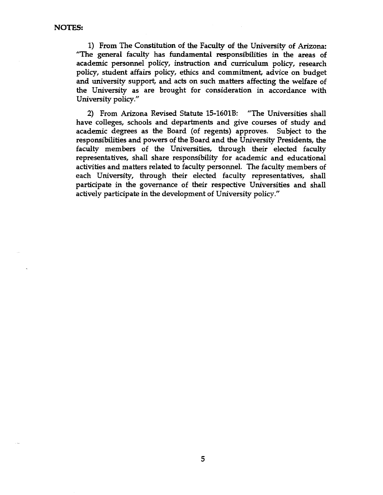From The Constitution of the Faculty of the University of Arizona: "The general faculty has fundamental responsibilities in the areas of academic personnel policy, instruction and curriculum policy, research policy, student affairs policy, ethics and commitment; advice on budget and university support, and acts on such matters affecting the welfare of the University as are brought for consideration in accordance with University policy."

From Arizona Revised Statute 15-1601B: "The Universities shall have colleges, schools and departments and give courses of study and academic degrees as the Board (of regents) approves. Subject to the responsibilities and powers of the Board and the University Presidents, the faculty members of the Universities, through their elected faculty representatives, shall share responsibility for academic and educational activities and matters related to faculty personnel. The faculty members of each University, through their elected faculty representatives, shall participate in the governance of their respective Universities and shall actively participate in the development of University policy."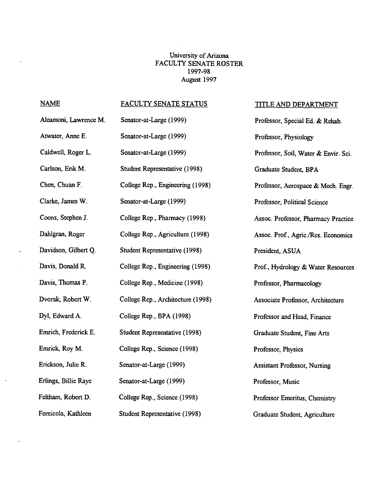# University of Arizona FACULTY SENATE ROSTER 1997-98 August 1997

 $\ddot{\phantom{a}}$ 

 $\frac{1}{2}$ 

 $\mathcal{A}^{\mathcal{A}}$ 

 $\mathcal{A}$ 

 $\frac{1}{2}$ 

| <b>NAME</b>           | FACULTY SENATE STATUS             | <b>TITLE AND DEPARTMENT</b>          |
|-----------------------|-----------------------------------|--------------------------------------|
| Aleamoni, Lawrence M. | Senator-at-Large (1999)           | Professor, Special Ed. & Rehab.      |
| Atwater, Anne E.      | Senator-at-Large (1999)           | Professor, Physiology                |
| Caldwell, Roger L.    | Senator-at-Large (1999)           | Professor, Soil, Water & Envir. Sci. |
| Carlson, Erik M.      | Student Representative (1998)     | Graduate Student, BPA                |
| Chen, Chuan F.        | College Rep., Engineering (1998)  | Professor, Aerospace & Mech. Engr.   |
| Clarke, James W.      | Senator-at-Large (1999)           | Professor, Political Science         |
| Coons, Stephen J.     | College Rep., Pharmacy (1998)     | Assoc. Professor, Pharmacy Practice  |
| Dahlgran, Roger       | College Rep., Agriculture (1998)  | Assoc. Prof., Agric./Res. Economics  |
| Davidson, Gilbert Q.  | Student Representative (1998)     | President, ASUA                      |
| Davis, Donald R.      | College Rep., Engineering (1998)  | Prof., Hydrology & Water Resources   |
| Davis, Thomas P.      | College Rep., Medicine (1998)     | Professor, Pharmacology              |
| Dvorak, Robert W.     | College Rep., Architecture (1998) | Associate Professor, Architecture    |
| Dyl, Edward A.        | College Rep., BPA (1998)          | Professor and Head, Finance          |
| Emrich, Frederick E.  | Student Representative (1998)     | Graduate Student, Fine Arts          |
| Emrick, Roy M.        | College Rep., Science (1998)      | Professor, Physics                   |
| Erickson, Julie R.    | Senator-at-Large (1999)           | <b>Assistant Professor, Nursing</b>  |
| Erlings, Billie Raye  | Senator-at-Large (1999)           | Professor, Music                     |
| Feltham, Robert D.    | College Rep., Science (1998)      | Professor Emeritus, Chemistry        |
| Fernicola, Kathleen   | Student Representative (1998)     | Graduate Student, Agriculture        |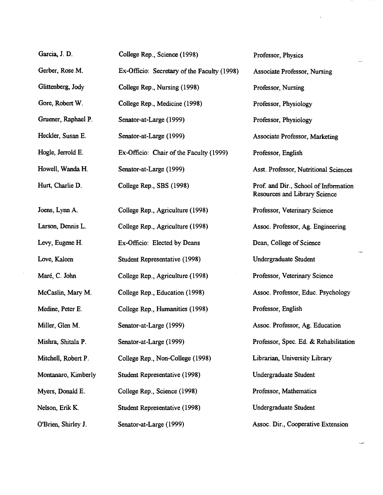| Garcia, J. D.       | College Rep., Science (1998)                | Professor, Physics                                                            |
|---------------------|---------------------------------------------|-------------------------------------------------------------------------------|
| Gerber, Rose M.     | Ex-Officio: Secretary of the Faculty (1998) | <b>Associate Professor, Nursing</b>                                           |
| Glittenberg, Jody   | College Rep., Nursing (1998)                | Professor, Nursing                                                            |
| Gore, Robert W.     | College Rep., Medicine (1998)               | Professor, Physiology                                                         |
| Gruener, Raphael P. | Senator-at-Large (1999)                     | Professor, Physiology                                                         |
| Heckler, Susan E.   | Senator-at-Large (1999)                     | Associate Professor, Marketing                                                |
| Hogle, Jerrold E.   | Ex-Officio: Chair of the Faculty (1999)     | Professor, English                                                            |
| Howell, Wanda H.    | Senator-at-Large (1999)                     | Asst. Professor, Nutritional Sciences                                         |
| Hurt, Charlie D.    | College Rep., SBS (1998)                    | Prof. and Dir., School of Information<br><b>Resources and Library Science</b> |
| Joens, Lynn A.      | College Rep., Agriculture (1998)            | Professor, Veterinary Science                                                 |
| Larson, Dennis L.   | College Rep., Agriculture (1998)            | Assoc. Professor, Ag. Engineering                                             |
| Levy, Eugene H.     | Ex-Officio: Elected by Deans                | Dean, College of Science                                                      |
| Love, Kaleen        | Student Representative (1998)               | Undergraduate Student                                                         |
| Maré, C. John       | College Rep., Agriculture (1998)            | Professor, Veterinary Science                                                 |
| McCaslin, Mary M.   | College Rep., Education (1998)              | Assoc. Professor, Educ. Psychology                                            |
| Medine, Peter E.    | College Rep., Humanities (1998)             | Professor, English                                                            |
| Miller, Glen M.     | Senator-at-Large (1999)                     | Assoc. Professor, Ag. Education                                               |
| Mishra, Shitala P.  | Senator-at-Large (1999)                     | Professor, Spec. Ed. & Rehabilitation                                         |
| Mitchell, Robert P. | College Rep., Non-College (1998)            | Librarian, University Library                                                 |
| Montanaro, Kimberly | Student Representative (1998)               | <b>Undergraduate Student</b>                                                  |
| Myers, Donald E.    | College Rep., Science (1998)                | Professor, Mathematics                                                        |
| Nelson, Erik K.     | Student Representative (1998)               | <b>Undergraduate Student</b>                                                  |
| O'Brien, Shirley J. | Senator-at-Large (1999)                     | Assoc. Dir., Cooperative Extension                                            |

 $\bar{a}$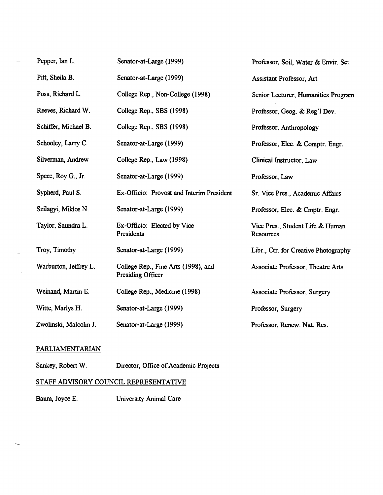| Pepper, Ian L.        | Senator-at-Large (1999)                                  | Professor, Soil, Water & Envir. Sci.          |
|-----------------------|----------------------------------------------------------|-----------------------------------------------|
| Pitt, Sheila B.       | Senator-at-Large (1999)                                  | Assistant Professor, Art                      |
| Poss, Richard L.      | College Rep., Non-College (1998)                         | Senior Lecturer, Humanities Program           |
| Reeves, Richard W.    | College Rep., SBS (1998)                                 | Professor, Geog. & Reg'l Dev.                 |
| Schiffer, Michael B.  | College Rep., SBS (1998)                                 | Professor, Anthropology                       |
| Schooley, Larry C.    | Senator-at-Large (1999)                                  | Professor, Elec. & Comptr. Engr.              |
| Silverman, Andrew     | College Rep., Law (1998)                                 | Clinical Instructor, Law                      |
| Spece, Roy G., Jr.    | Senator-at-Large (1999)                                  | Professor, Law                                |
| Sypherd, Paul S.      | Ex-Officio: Provost and Interim President                | Sr. Vice Pres., Academic Affairs              |
| Szilagyi, Miklos N.   | Senator-at-Large (1999)                                  | Professor, Elec. & Cmptr. Engr.               |
| Taylor, Saundra L.    | Ex-Officio: Elected by Vice<br>Presidents                | Vice Pres., Student Life & Human<br>Resources |
| Troy, Timothy         | Senator-at-Large (1999)                                  | Libr., Ctr. for Creative Photography          |
| Warburton, Jeffrey L. | College Rep., Fine Arts (1998), and<br>Presiding Officer | Associate Professor, Theatre Arts             |
| Weinand, Martin E.    | College Rep., Medicine (1998)                            | Associate Professor, Surgery                  |
| Witte, Marlys H.      | Senator-at-Large (1999)                                  | Professor, Surgery                            |
| Zwolinski, Malcolm J. | Senator-at-Large (1999)                                  | Professor, Renew. Nat. Res.                   |

# PARLIAMENTARIAN

 $\overline{\phantom{0}}$ 

 $\bar{\mathbf{z}}$ 

| Sankey, Robert W. | Director, Office of Academic Projects |
|-------------------|---------------------------------------|
|-------------------|---------------------------------------|

# STAFF ADVISORY COUNCIL REPRESENTATWE

| Baum, Joyce E. | University Animal Care |
|----------------|------------------------|
|----------------|------------------------|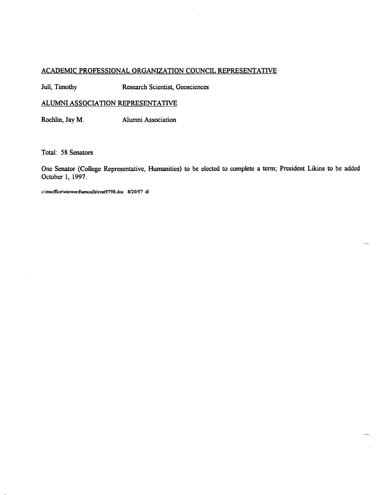# ACADEMIC PROFESSIONAL ORGANIZATION COUNCIL REPRESENTATIVE

Juli, Timothy Research Scientist, Geosciences

# ALUMNI ASSOCIATION REPRESENTATIVE

Rochlin, Jay M. Alumni Association

Total: 58 Senators

One Senator (College Representative, Humanities) to be elected to complete a term; President Likins to be added October 1, 1997.

c:\msoffice\winword\sencalls\rost9798.doc 8/20/97 dl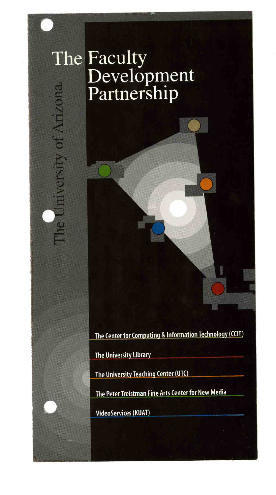# The Faculty Development<br>Partnership he University of Arizona

The Center for Computing & Information Technology (CCIT)

The University Library

The University Teaching Center (UTC)

The Peter Treistman Fine Arts Center for New Media

VideoServices (KUAT)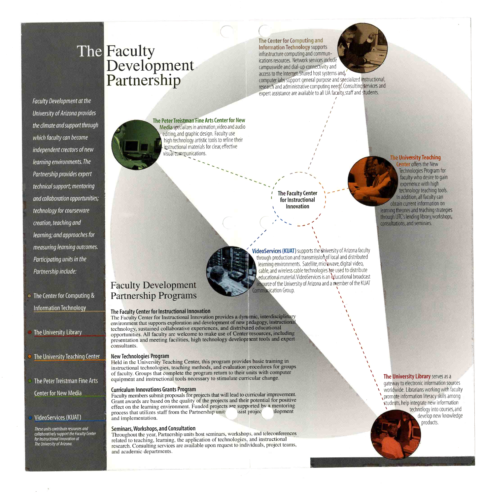# Faculty<br>Development Partnership The Faculty

(Contexter Computing and The Center for Computing and Information Technology supports infrastructure computing and communications resources. Network services include campuswide and dial-up connectivity and access to the Internet. Shared host systems and,



computer labs support general purpose and specialized instructional, research and administrative computing needs. Consulting services and expert assistance are available to all UA faculty, staff and students.

Faculty Development at the University of Arizona provides the dimate andsupport through which faculty can become independent creators of new learning environments. The Partnership provides expert technical support; mentoring and collaboration opportunities; technology for courseware creation, teaching and learning; and approaches for measuring learning outcomes. Participating units in the Partnership indude:

• The Center for Computing & Information Technology

The University Library

The University Teaching Center

The Peter Treistman Fine Arts (enter for New Media

# VideoServices (KUAT)

These units contribute resources and collaboratively support the Faculty Center relationship for Instructional Innovation at The University of Arizona.

The Peter Treistman Fine Arts Center for New Media specializes in animation, video and audio editing,and graphic design. Faculty use high technology artistic tools to refine their instructional materials for clear, effective visual communications.

> --- -. I **The Faculty Center** for Instructional Innovation  $\mathbf{v} = \mathbf{v}$

> > $\bigcup_{i=1}^n A_i = \bigcup_{i=1}^n A_i$

I in the second the second the second terms of the second terms of the second terms of the second terms of the<br>In the second terms of the second terms of the second terms of the second terms of the second terms of the seco

I

VideoServices (KUAT) supports the University of Arizona faculty through production and transmission of local and distributed learning environments. Satellite, microwave, digital video, cable, and wireless cable technologies are used to distribute educational material. VideoServices is an educational broadcast resource of the University of Arizona and a member of the KUAT **Communication Group.** 

/

# Faculty Development Partnership Programs

## The Faculty Center for Instructional Innovation

The Faculty Center for Instructional Innovation provides a dynamic, interdisciplinary environment that supports exploration and development of new pedagogy, instructional technology, sustained collaborative experiences, and distributed educational opportunities. All faculty are welcome to make use of Center resources, including presentation and meeting facilities, high technology development tools and expert consultants.

### New Technologies Program

Held in the University Teaching Center, this program provides basic training in instructional technologies, teaching methods, and evaluation procedures for groups of faculty. Groups that complete the program return to their units with computer equipment and instructional tools necessary to stimulate curricular change.

### Curriculum Innovations Grants Program

Faculty members submit proposals for projects that will lead to curricular improvement. Grant awards are based on the quality of the projects and their potential for positive effect on the learning environment. Funded projects are supported by a mentoring<br>process that utilizes staff from the Partnership unit process that utilizes staff from the Partnership unit and implementation.

### Seminars,Workshops,and Consultation

Throughout the year, Partnership units host seminars, workshops, and teleconferences related to teaching, learning, the application of technologies, and instructional research. Consulting services are available upon request to individuals, project teams, and academic departments.

# The University Library serves as a<br>extensive electronic information sources

 gateway to electronic information sources worldwide. Librarians working with faculty 'promote information literacy skills among students, help integrate new information technology into courses,and develop new knowledge products.

**The University Teaching Lenter** offers the New Technologies Program for faculty who desire to gain experience with high technology teaching tools. In addition,all faculty can obtain current information on learning theories and teaching strategies through UTC's lending library,workshops, consultations, and seminars.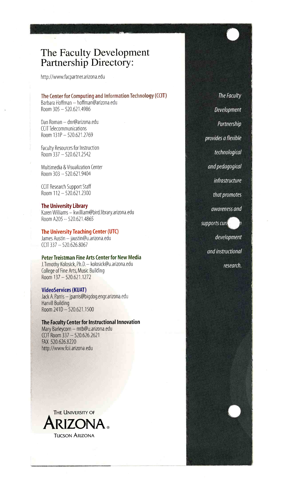# The Faculty Development Partnership Directory:

http://www.facpartner.arizona.edu

### The Center for Computing and Information Technology (CCII) Barbara Hoffman — hoffman@arizona.edu

Room 305 - 520.621.4986

Dan Roman - dnr@arizona.edu CCIT Telecommunications Room  $131P - 520.621.2769$ 

Faculty Resources for Instruction Room 337-520.621.2542

Multimedia & Visualization Center Room 303 - 520.621.9404

CCII Research Support Staff Room 112 - 520.621.2300

### The University Library

Karen Williams - kwilliam@bird.library.arizona.edu Room A205 - 520.621.4865

# The University Teaching Center (UTC)

James Austin - jaustin@u.arizona.edu  $CCIT$  337  $-$  520.626.8067

### Peter Treistman Fine Arts Center for New Media J.Timothy Kolosick, Ph.D. - kolosick@u.arizona.edu College of Fine Arts, Music Building

Room 137 - 520.621.1272

## VideoServices (KUAT)

Jack A. Parris - jparris@bigdog.engr.arizona.edu Harvill Building Room 241D - 520.621.1500

### The Faculty Center for Instructional Innovation

Mary Barleycorn - mtb@u.arizona.edu CCII Room 337 - 520.626.2621 FAX 520.626.8220 http://www.fcii.arizona.edu



The Faculty Development Partnership provides a flexible technological and pedagogical infrastructure that promotes awareness and supports curi development and instructional



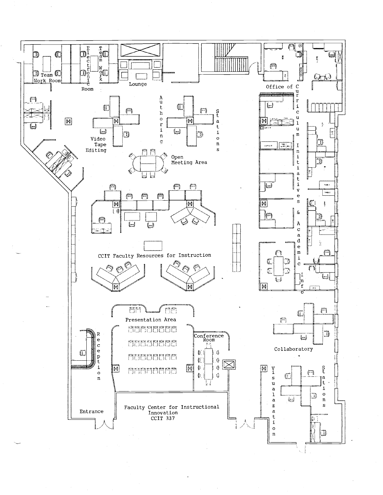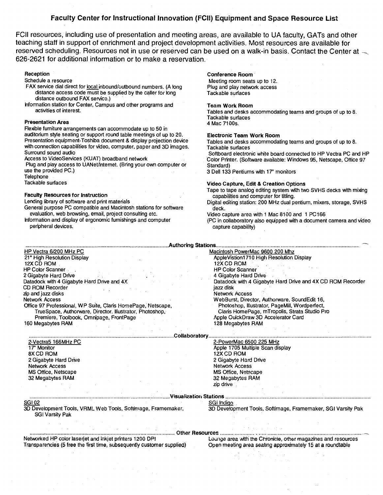# Faculty Center for Instructional Innovation (FCII) Equipment and Space Resource List

FCII resources, including use of presentation and meeting areas, are available to UA faculty, GATs and other teaching staff in support of enrichment and project development activities. Most resources are availáble for reserved scheduling. Resources not in use or reserved can be used on a walk-in basis. Contact the Center at  $\sim$ 626-2621 for additional information or to make a reservation.

### Reception

Schedule a resource

- FAX service dial direct for local inbound/outbound numbers. (A long distance access codemust be supplied by the caller for long distance outbound FAX servico.)
- Information station for Center, Campus and other programs and activities of interest.

### Presentation Area

Flexible furniture arrangements can accommodate up to 50 in auditorium style seating or support round table meetings of up to 20. Presentation equipment-Toshiba document & display projection device with connection capabilities for video, computer, paper and 3D images. Surround sound audio

Access to VideoServices (KUAT) broadband network

Plug and play access to UANet/lntemet. (Bring your own computer or use the provided PC.)

Telephone

Tackable surfaces

## Faculty Resources for Instruction

Lending library of software and print materials

General purpose PC compatible and Macintosh stations for software evaluation, web browsing, email, project consulting etc.

Information and display of ergonomic furnishings and computer peripheral devices.

### Conference Room

Meeting room seats up to 12. Plug and play network access Tackable surfaces

### Team Work Room

Tables and desks accommodating teams and groups of up to 8. Tackable surfaces 4 Mac 7100s.

### Electronic Team Work Room

Tables and desks accommodating teams and groups of up to 8. Tackable surfaces

Softboard electronic white board connected to HP Vectra PC and HP Color Printer. (Software available: Windows 95, Netscape, Office 97 Standard)

3 Dell 133 Pentiums with 17' monitors

### Video Capture, Edit & Creation Options

Tape to tape analog editing system with two SVHS decks with mixing capabilities and computer for titling.

- Digital editing station: 200 MHz dual pentium, mixers, storage, SVHS deck.
- Video capture area with 1 Mac 8100 and 1 PC166

(PC in collaboratory also equipped with a document camera and video capture capability)

| <b>Authoring Stations.</b>                                  |                                                            |  |
|-------------------------------------------------------------|------------------------------------------------------------|--|
| HP Vectra 6/200 MHz PC                                      | Macintosh PowerMac 9600 200 Mhz                            |  |
| 21" High Resolution Display                                 | AppleVistion1710 High Resolution Display                   |  |
| 12X CD ROM                                                  | 12X CD ROM                                                 |  |
| <b>HP Color Scanner</b>                                     | <b>HP Color Scanner</b>                                    |  |
| 2 Gigabyte Hard Drive                                       | 4 Gigabyte Hard Drive                                      |  |
| Datadock with 4 Gigabyte Hard Drive and 4X                  | Datadock with 4 Gigabyte Hard Drive and 4X CD ROM Recorder |  |
| <b>CD ROM Recorder</b>                                      | jazz disk                                                  |  |
| zip and jazz disks                                          | Network Access                                             |  |
| <b>Network Access</b>                                       | WebBurst, Director, Authorware, SoundEdit 16,              |  |
| Office 97 Professional, WP Suite, Clans HomePage, Netscape, | Photoshop, Illustrator, PageMill, Wordperfect,             |  |
| TrueSpace, Authorware, Director. Illustrator, Photoshop,    | Claris HomePage, mTropolis, Strata Studio Pro              |  |
| Premiere, Toolbook, Omnipage, FrontPage                     | Apple OuickDraw 3D Accelerator Card                        |  |
| 160 Megabytes RAM                                           | 128 Megabytes RAM                                          |  |
|                                                             |                                                            |  |
| Collaboratory                                               |                                                            |  |
| 2-Vectra5 166MHz PC                                         | 2-PowerMac 6500 225 MHz                                    |  |
| 17" Monitor                                                 | Apple 1705 Multiple Scan display                           |  |
| 8X CD ROM                                                   | 12X CD ROM                                                 |  |

2 Gigabyte Hard Drive 2 Gigabyte Hard Drive Network Access Network Access MS Office, Netscape MS Office, Netscape MS Office, Netscape MS Office, Netscape MS Office, Netscape MS Office, Netscape MS Office, Netscape  $\overline{32}$  Megabytes RAM

### VisuaIizatior Stations SGi Indigo

SGIO2 3D Development Tools, VRML Web Tools, Softimage, Framemaker, SGI Varsity Pak

3D Development Tools, Softimage, Framemaker, SGI Varsity Pak

### Other Resources

32 Megabytes RAM

zip drive

Networked HP color laserjet and inkjet printers 1200 DPI Lounge area with the Chronicle, other magazines and resources<br>Transparencies (5 free the first time, subsequently customer supplied) Open meeting area seating approx Transparencies (5 free the first time, subsequently customer supplied)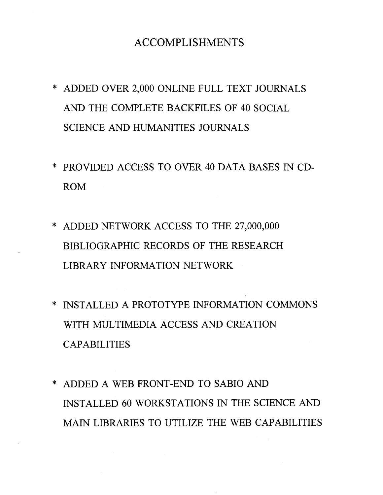# ACCOMPLISHMENTS

- \* ADDED OVER 2,000 ONLINE FULL TEXT JOURNALS AND THE COMPLETE BACKFILES OF 40 SOCIAL SCIENCE AND HUMANITIES JOURNALS
- \* PROVIDED ACCESS TO OVER 40 DATA BASES IN CD-ROM
- \* ADDED NETWORK ACCESS TO THE 27,000,000 BIBLIOGRAPHIC RECORDS OF THE RESEARCH LIBRARY INFORMATION NETWORK
- \* INSTALLED A PROTOTYPE INFORMATION COMMONS WITH MULTIMEDIA ACCESS AND CREATION CAPABILITIES
- \* ADDED A WEB FRONT-END TO SABIO AND INSTALLED 60 WORKSTATIONS IN THE SCIENCE AND MAIN LIBRARIES TO UTILIZE THE WEB CAPABILITIES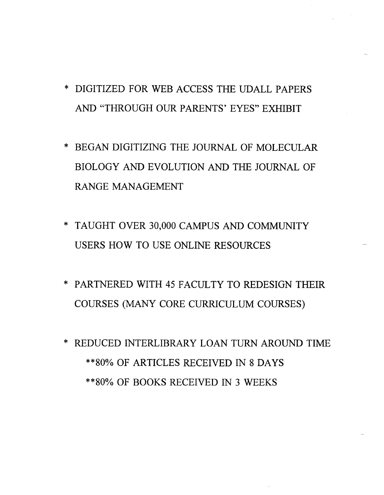- \* DIGITIZED FOR WEB ACCESS THE UDALL PAPERS AND "THROUGH OUR PARENTS' EYES" EXHIBIT
- \* BEGAN DIGITIZING THE JOURNAL OF MOLECULAR BIOLOGY AND EVOLUTION AND THE JOURNAL OF RANGE MANAGEMENT
- \* TAUGHT OVER 30,000 CAMPUS AND COMMUNITY USERS HOW TO USE ONLINE RESOURCES
- \* PARTNERED WITH 45 FACULTY TO REDESIGN THEIR COURSES (MANY CORE CURRICULUM COURSES)
- \* REDUCED INTERLIBRARY LOAN TURN AROUND TIME \*\*80% OF ARTICLES RECEIVED iN 8 DAYS \*\*80% OF BOOKS RECEIVED IN 3 WEEKS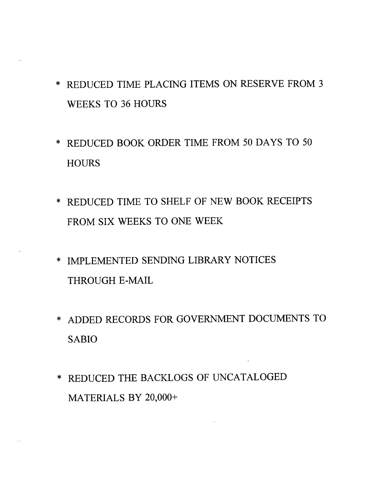- \* REDUCED TIME PLACING ITEMS ON RESERVE FROM 3 WEEKS TO 36 HOURS
- \* REDUCED BOOK ORDER TIME FROM 50 DAYS TO 50 **HOURS**
- \* REDUCED TIME TO SHELF OF NEW BOOK RECEIPTS FROM SIX WEEKS TO ONE WEEK
- \* IMPLEMENTED SENDING LIBRARY NOTICES THROUGH E-MAIL
- \* ADDED RECORDS FOR GOVERNMENT DOCUMENTS TO SABIO
- \* REDUCED THE BACKLOGS OF UNCATALOGED MATERIALS BY 20,000+